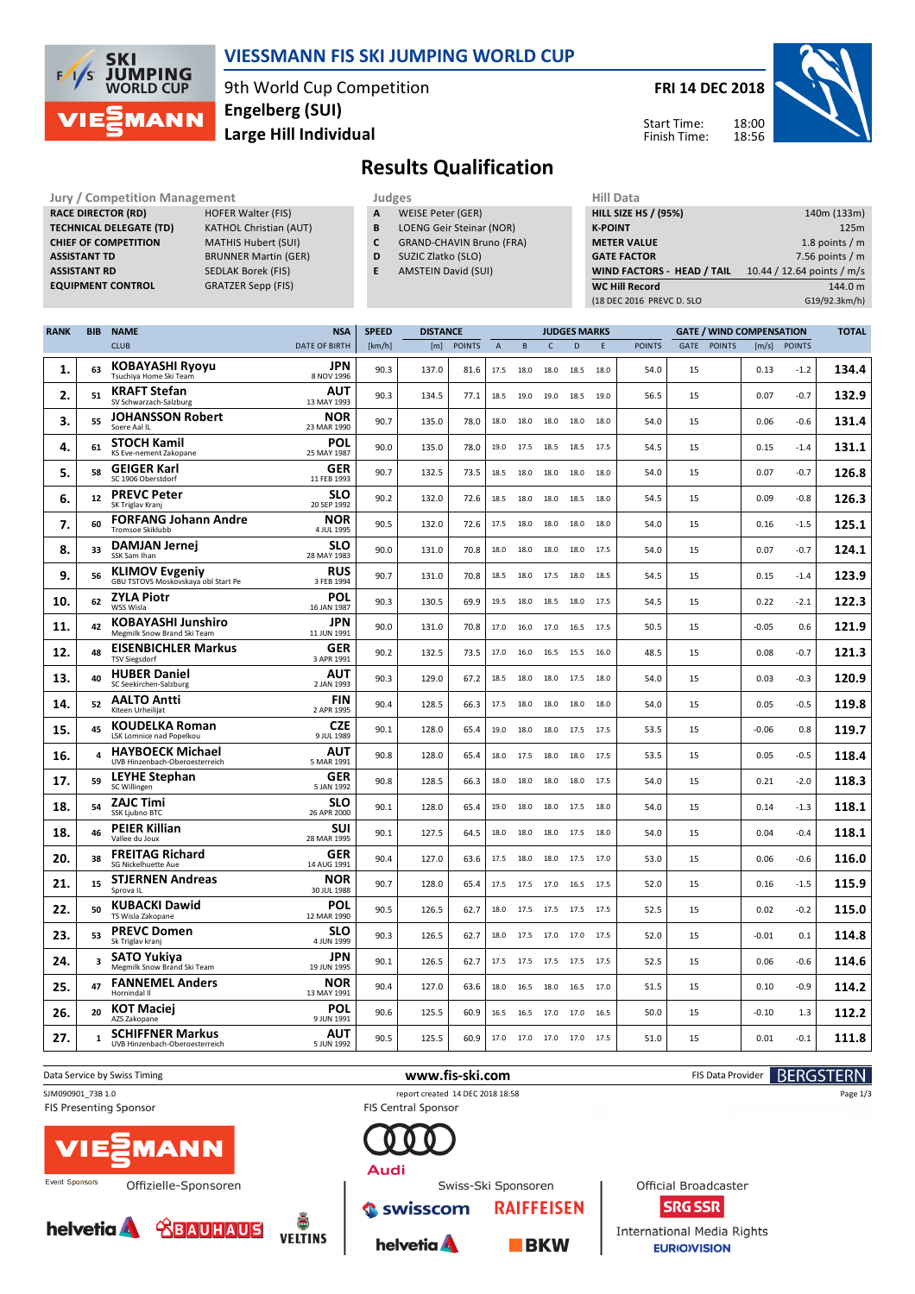

## **VIESSMANN FIS SKI JUMPING WORLD CUP**

9th World Cup Competition **Large Hill Individual Engelberg (SUI)**

**FRI 14 DEC 2018**



18:00 18:56 Start Time: Finish Time:

# **Results Qualification**

**Jury / Competition Management Judges Hill Data**<br> **RACE DIRECTOR (RD)** HOFER Walter (FIS) **A** WEISE Peter (GER) **HILL SIZE F RACE DIRECTOR (RD) TECHNICAL DELEGATE (TD)** KATHOL Christian (AUT) **CHIEF OF COMPETITION** MATHIS Hubert (SUI) **ASSISTANT TD** BRUNNER Martin (GER) **ASSISTANT RD** SEDLAK Borek (FIS) **EQUIPMENT CONTROL** GRATZER Sepp (FIS)

- **A** WEISE Peter (GER)
- **B** LOENG Geir Steinar (NOR)
- **C** GRAND-CHAVIN Bruno (FRA)
- **D** SUZIC Zlatko (SLO)
- **E** AMSTEIN David (SUI)

| .                                 |                            |
|-----------------------------------|----------------------------|
| <b>HILL SIZE HS / (95%)</b>       | 140m (133m)                |
| <b>K-POINT</b>                    | 125m                       |
| <b>METER VALUE</b>                | 1.8 points $/m$            |
| <b>GATE FACTOR</b>                | 7.56 points $/m$           |
| <b>WIND FACTORS - HEAD / TAIL</b> | 10.44 / 12.64 points / m/s |
| <b>WC Hill Record</b>             | 144.0 m                    |
| (18 DEC 2016 PREVC D. SLO         | G19/92.3km/h)              |
|                                   |                            |

| <b>RANK</b> | <b>BIB</b> | <b>NAME</b>                                                  | <b>NSA</b>                | <b>SPEED</b> | <b>DISTANCE</b> |               |                |           | <b>JUDGES MARKS</b> |      |      |               | <b>GATE / WIND COMPENSATION</b> |               |         |               | <b>TOTAL</b> |
|-------------|------------|--------------------------------------------------------------|---------------------------|--------------|-----------------|---------------|----------------|-----------|---------------------|------|------|---------------|---------------------------------|---------------|---------|---------------|--------------|
|             |            | <b>CLUB</b>                                                  | <b>DATE OF BIRTH</b>      | [km/h]       | [m]             | <b>POINTS</b> | $\overline{A}$ | B         | $\mathsf{C}$        | D    | E    | <b>POINTS</b> | GATE                            | <b>POINTS</b> | [m/s]   | <b>POINTS</b> |              |
| 1.          | 63         | <b>KOBAYASHI Ryoyu</b><br>Tsuchiya Home Ski Team             | JPN<br>8 NOV 1996         | 90.3         | 137.0           | 81.6          | 17.5           | 18.0      | 18.0                | 18.5 | 18.0 | 54.0          | 15                              |               | 0.13    | $-1.2$        | 134.4        |
| 2.          | 51         | <b>KRAFT Stefan</b><br>SV Schwarzach-Salzburg                | AUT<br>13 MAY 1993        | 90.3         | 134.5           | 77.1          | 18.5           | 19.0      | 19.0                | 18.5 | 19.0 | 56.5          | 15                              |               | 0.07    | $-0.7$        | 132.9        |
| 3.          | 55         | <b>JOHANSSON Robert</b><br>Soere Aal II                      | <b>NOR</b><br>23 MAR 1990 | 90.7         | 135.0           | 78.0          | 18.0           | 18.0      | 18.0                | 18.0 | 18.0 | 54.0          | 15                              |               | 0.06    | $-0.6$        | 131.4        |
| 4.          | 61         | <b>STOCH Kamil</b><br>KS Eve-nement Zakopane                 | <b>POL</b><br>25 MAY 1987 | 90.0         | 135.0           | 78.0          | 19.0           | 17.5      | 18.5                | 18.5 | 17.5 | 54.5          | 15                              |               | 0.15    | $-1.4$        | 131.1        |
| 5.          | 58         | <b>GEIGER Karl</b><br>SC 1906 Oberstdorf                     | <b>GER</b><br>11 FEB 1993 | 90.7         | 132.5           | 73.5          | 18.5           | 18.0      | 18.0                | 18.0 | 18.0 | 54.0          | 15                              |               | 0.07    | $-0.7$        | 126.8        |
| 6.          | 12         | <b>PREVC Peter</b><br>SK Triglav Kranj                       | <b>SLO</b><br>20 SEP 1992 | 90.2         | 132.0           | 72.6          | 18.5           | 18.0      | 18.0                | 18.5 | 18.0 | 54.5          | 15                              |               | 0.09    | $-0.8$        | 126.3        |
| 7.          | 60         | <b>FORFANG Johann Andre</b><br>Tromsoe Skiklubb              | <b>NOR</b><br>4 JUL 1995  | 90.5         | 132.0           | 72.6          | 17.5           | 18.0      | 18.0                | 18.0 | 18.0 | 54.0          | 15                              |               | 0.16    | $-1.5$        | 125.1        |
| 8.          | 33         | <b>DAMJAN Jernej</b><br>SSK Sam Ihan                         | SLO<br>28 MAY 1983        | 90.0         | 131.0           | 70.8          | 18.0           | 18.0      | 18.0                | 18.0 | 17.5 | 54.0          | 15                              |               | 0.07    | $-0.7$        | 124.1        |
| 9.          | 56         | <b>KLIMOV Evgeniy</b><br>GBU TSTOVS Moskovskaya obl Start Pe | <b>RUS</b><br>3 FEB 1994  | 90.7         | 131.0           | 70.8          | 18.5           | 18.0 17.5 |                     | 18.0 | 18.5 | 54.5          | 15                              |               | 0.15    | $-1.4$        | 123.9        |
| 10.         | 62         | <b>ZYLA Piotr</b><br>WSS Wisla                               | POL<br>16 JAN 1987        | 90.3         | 130.5           | 69.9          | 19.5           | 18.0      | 18.5                | 18.0 | 17.5 | 54.5          | 15                              |               | 0.22    | $-2.1$        | 122.3        |
| 11.         | 42         | <b>KOBAYASHI Junshiro</b><br>Megmilk Snow Brand Ski Team     | <b>JPN</b><br>11 JUN 1991 | 90.0         | 131.0           | 70.8          | 17.0           | 16.0      | 17.0                | 16.5 | 17.5 | 50.5          | 15                              |               | $-0.05$ | 0.6           | 121.9        |
| 12.         | 48         | <b>EISENBICHLER Markus</b><br>TSV Siegsdorf                  | <b>GER</b><br>3 APR 1991  | 90.2         | 132.5           | 73.5          | 17.0           | 16.0      | 16.5                | 15.5 | 16.0 | 48.5          | 15                              |               | 0.08    | $-0.7$        | 121.3        |
| 13.         | 40         | <b>HUBER Daniel</b><br>SC Seekirchen-Salzburg                | <b>AUT</b><br>2 JAN 1993  | 90.3         | 129.0           | 67.2          | 18.5           | 18.0      | 18.0                | 17.5 | 18.0 | 54.0          | 15                              |               | 0.03    | $-0.3$        | 120.9        |
| 14.         | 52         | <b>AALTO Antti</b><br>Kiteen Urheilijat                      | <b>FIN</b><br>2 APR 1995  | 90.4         | 128.5           | 66.3          | 17.5           | 18.0      | 18.0                | 18.0 | 18.0 | 54.0          | 15                              |               | 0.05    | $-0.5$        | 119.8        |
| 15.         | 45         | <b>KOUDELKA Roman</b><br>LSK Lomnice nad Popelkou            | <b>CZE</b><br>9 JUL 1989  | 90.1         | 128.0           | 65.4          | 19.0           | 18.0      | 18.0                | 17.5 | 17.5 | 53.5          | 15                              |               | $-0.06$ | 0.8           | 119.7        |
| 16          | 4          | <b>HAYBOECK Michael</b><br>UVB Hinzenbach-Oberoesterreich    | AUT<br>5 MAR 1991         | 90.8         | 128.0           | 65.4          | 18.0           | 17.5      | 18.0                | 18.0 | 17.5 | 53.5          | 15                              |               | 0.05    | $-0.5$        | 118.4        |
| 17.         | 59         | <b>LEYHE Stephan</b><br>SC Willingen                         | <b>GER</b><br>5 JAN 1992  | 90.8         | 128.5           | 66.3          | 18.0           | 18.0      | 18.0                | 18.0 | 17.5 | 54.0          | 15                              |               | 0.21    | $-2.0$        | 118.3        |
| 18.         | 54         | <b>ZAJC Timi</b><br>SSK Ljubno BTC                           | SLO<br>26 APR 2000        | 90.1         | 128.0           | 65.4          | 19.0           | 18.0      | 18.0                | 17.5 | 18.0 | 54.0          | 15                              |               | 0.14    | $-1.3$        | 118.1        |
| 18.         | 46         | <b>PEIER Killian</b><br>Vallee du Joux                       | SUI<br>28 MAR 1995        | 90.1         | 127.5           | 64.5          | 18.0           | 18.0      | 18.0                | 17.5 | 18.0 | 54.0          | 15                              |               | 0.04    | $-0.4$        | 118.1        |
| 20.         | 38         | <b>FREITAG Richard</b><br>SG Nickelhuette Aue                | <b>GER</b><br>14 AUG 1991 | 90.4         | 127.0           | 63.6          | 17.5           | 18.0      | 18.0                | 17.5 | 17.0 | 53.0          | 15                              |               | 0.06    | $-0.6$        | 116.0        |
| 21.         | 15         | <b>STJERNEN Andreas</b><br>Sprova IL                         | <b>NOR</b><br>30 JUL 1988 | 90.7         | 128.0           | 65.4          | 17.5           | 17.5 17.0 |                     | 16.5 | 17.5 | 52.0          | 15                              |               | 0.16    | $-1.5$        | 115.9        |
| 22.         | 50         | <b>KUBACKI Dawid</b><br>TS Wisla Zakopane                    | POL<br>12 MAR 1990        | 90.5         | 126.5           | 62.7          | 18.0           | 17.5      | 17.5                | 17.5 | 17.5 | 52.5          | 15                              |               | 0.02    | $-0.2$        | 115.0        |
| 23.         | 53         | <b>PREVC Domen</b><br>Sk Triglav kranj                       | <b>SLO</b><br>4 JUN 1999  | 90.3         | 126.5           | 62.7          | 18.0           | 17.5 17.0 |                     | 17.0 | 17.5 | 52.0          | 15                              |               | $-0.01$ | 0.1           | 114.8        |
| 24.         | 3          | SATO Yukiya<br>Megmilk Snow Brand Ski Team                   | <b>JPN</b><br>19 JUN 1995 | 90.1         | 126.5           | 62.7          | 17.5           | 17.5      | 17.5                | 17.5 | 17.5 | 52.5          | 15                              |               | 0.06    | $-0.6$        | 114.6        |
| 25.         | 47         | <b>FANNEMEL Anders</b><br>Hornindal II                       | <b>NOR</b><br>13 MAY 1991 | 90.4         | 127.0           | 63.6          | 18.0           | 16.5      | 18.0                | 16.5 | 17.0 | 51.5          | 15                              |               | 0.10    | $-0.9$        | 114.2        |
| 26.         | 20         | <b>KOT Maciej</b><br>AZS Zakopane                            | <b>POL</b><br>9 JUN 1991  | 90.6         | 125.5           | 60.9          | 16.5           | 16.5 17.0 |                     | 17.0 | 16.5 | 50.0          | 15                              |               | $-0.10$ | 1.3           | 112.2        |
| 27.         | 1          | <b>SCHIFFNER Markus</b><br>UVB Hinzenbach-Oberoesterreich    | <b>AUT</b><br>5 JUN 1992  | 90.5         | 125.5           | 60.9          | 17.0           | 17.0 17.0 |                     | 17.0 | 17.5 | 51.0          | 15                              |               | 0.01    | $-0.1$        | 111.8        |

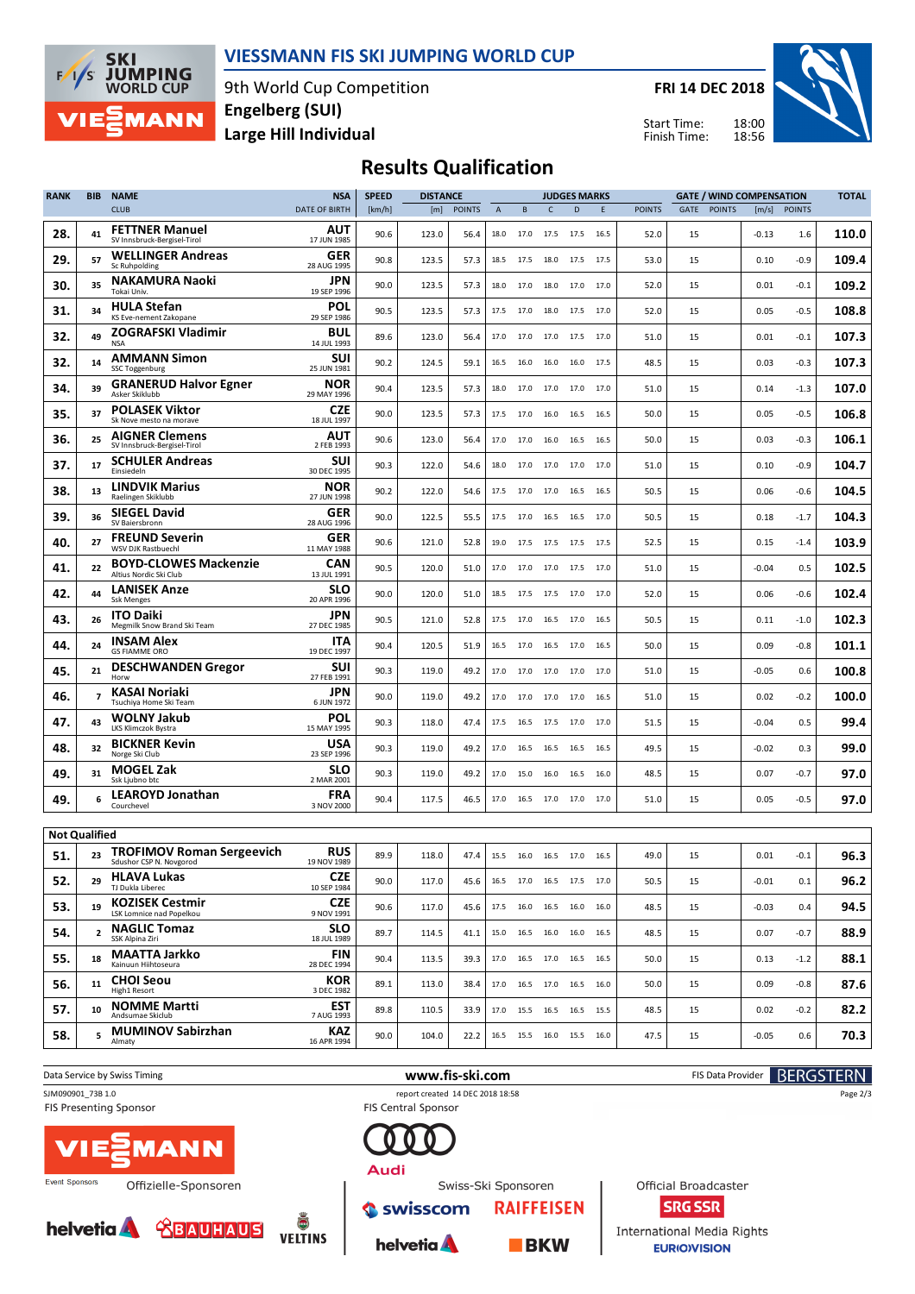

### **VIESSMANN FIS SKI JUMPING WORLD CUP**

9th World Cup Competition **Large Hill Individual Engelberg (SUI)**

**FRI 14 DEC 2018**

Start Time: Finish Time:



## **Results Qualification**

| <b>RANK</b>                 | BIB            | <b>NAME</b>                                                        | <b>NSA</b>                              | <b>SPEED</b> | <b>DISTANCE</b> |               |                |      | <b>JUDGES MARKS</b> |                              |      |               |      |               | <b>GATE / WIND COMPENSATION</b> |              | <b>TOTAL</b> |
|-----------------------------|----------------|--------------------------------------------------------------------|-----------------------------------------|--------------|-----------------|---------------|----------------|------|---------------------|------------------------------|------|---------------|------|---------------|---------------------------------|--------------|--------------|
|                             |                | <b>CLUB</b>                                                        | DATE OF BIRTH                           | [km/h]       | [m]             | <b>POINTS</b> | $\overline{A}$ | B    | c                   | D                            | E.   | <b>POINTS</b> | GATE | <b>POINTS</b> |                                 | [m/s] POINTS |              |
| 28.                         | 41             | <b>FETTNER Manuel</b><br>SV Innsbruck-Bergisel-Tirol               | AUT<br>17 JUN 1985                      | 90.6         | 123.0           | 56.4          | 18.0           |      | 17.0 17.5 17.5      |                              | 16.5 | 52.0          | 15   |               | $-0.13$                         | 1.6          | 110.0        |
| 29.                         | 57             | <b>WELLINGER Andreas</b><br>Sc Ruhpolding                          | GER<br>28 AUG 1995                      | 90.8         | 123.5           | 57.3          | 18.5           | 17.5 | 18.0                | 17.5                         | 17.5 | 53.0          | 15   |               | 0.10                            | -0.9         | 109.4        |
| 30.                         | 35             | <b>NAKAMURA Naoki</b><br>Tokai Univ.                               | JPN<br>19 SEP 1996                      | 90.0         | 123.5           | 57.3          | 18.0           | 17.0 | 18.0                | 17.0                         | 17.0 | 52.0          | 15   |               | 0.01                            | $-0.1$       | 109.2        |
| 31.                         | 34             | <b>HULA Stefan</b><br>KS Eve-nement Zakopane                       | POL<br>29 SEP 1986                      | 90.5         | 123.5           | 57.3          | 17.5           | 17.0 | 18.0                | 17.5                         | 17.0 | 52.0          | 15   |               | 0.05                            | $-0.5$       | 108.8        |
| 32.                         | 49             | ZOGRAFSKI Vladimir<br><b>NSA</b>                                   | BUL<br>14 JUL 1993                      | 89.6         | 123.0           | 56.4          | 17.0           | 17.0 | 17.0 17.5           |                              | 17.0 | 51.0          | 15   |               | 0.01                            | $-0.1$       | 107.3        |
| 32.                         | 14             | <b>AMMANN Simon</b><br>SSC Toggenburg                              | SUI<br>25 JUN 1981                      | 90.2         | 124.5           | 59.1          | 16.5           | 16.0 | 16.0                | 16.0                         | 17.5 | 48.5          | 15   |               | 0.03                            | $-0.3$       | 107.3        |
| 34.                         | 39             | <b>GRANERUD Halvor Egner</b><br>Asker Skiklubb                     | NOR<br>29 MAY 1996                      | 90.4         | 123.5           | 57.3          | 18.0           | 17.0 | 17.0                | 17.0                         | 17.0 | 51.0          | 15   |               | 0.14                            | $-1.3$       | 107.0        |
| 35.                         | 37             | <b>POLASEK Viktor</b><br>Sk Nove mesto na morave                   | <b>CZE</b><br>18 JUL 1997               | 90.0         | 123.5           | 57.3          | 17.5           | 17.0 | 16.0                | 16.5                         | 16.5 | 50.0          | 15   |               | 0.05                            | $-0.5$       | 106.8        |
| 36.                         | 25             | <b>AIGNER Clemens</b><br>SV Innsbruck-Bergisel-Tirol               | AUT<br>2 FEB 1993                       | 90.6         | 123.0           | 56.4          | 17.0           | 17.0 | 16.0                | 16.5                         | 16.5 | 50.0          | 15   |               | 0.03                            | $-0.3$       | 106.1        |
| 37.                         | 17             | <b>SCHULER Andreas</b><br>Einsiedeln                               | <b>SUI</b><br>30 DEC 1995               | 90.3         | 122.0           | 54.6          | 18.0           | 17.0 | 17.0                | 17.0                         | 17.0 | 51.0          | 15   |               | 0.10                            | $-0.9$       | 104.7        |
| 38.                         | 13             | <b>LINDVIK Marius</b><br>Raelingen Skiklubb                        | NOR<br>27 JUN 1998                      | 90.2         | 122.0           | 54.6          | 17.5           | 17.0 | 17.0                | 16.5                         | 16.5 | 50.5          | 15   |               | 0.06                            | $-0.6$       | 104.5        |
| 39.                         | 36             | <b>SIEGEL David</b><br>SV Baiersbronn                              | GER<br>28 AUG 1996                      | 90.0         | 122.5           | 55.5          | 17.5           | 17.0 | 16.5                | 16.5                         | 17.0 | 50.5          | 15   |               | 0.18                            | $-1.7$       | 104.3        |
| 40.                         | 27             | <b>FREUND Severin</b><br>WSV DJK Rastbuechl                        | GER<br>11 MAY 1988                      | 90.6         | 121.0           | 52.8          | 19.0           | 17.5 | 17.5                | 17.5                         | 17.5 | 52.5          | 15   |               | 0.15                            | $-1.4$       | 103.9        |
| 41.                         | 22             | <b>BOYD-CLOWES Mackenzie</b><br>Altius Nordic Ski Club             | <b>CAN</b><br>13 JUL 1991               | 90.5         | 120.0           | 51.0          | 17.0           | 17.0 | 17.0 17.5           |                              | 17.0 | 51.0          | 15   |               | $-0.04$                         | 0.5          | 102.5        |
| 42.                         | 44             | <b>LANISEK Anze</b><br><b>Ssk Menges</b>                           | <b>SLO</b><br>20 APR 1996               | 90.0         | 120.0           | 51.0          | 18.5           | 17.5 | 17.5 17.0           |                              | 17.0 | 52.0          | 15   |               | 0.06                            | $-0.6$       | 102.4        |
| 43.                         | 26             | <b>ITO Daiki</b><br>Megmilk Snow Brand Ski Team                    | JPN<br>27 DEC 1985                      | 90.5         | 121.0           | 52.8          | 17.5           | 17.0 | 16.5                | 17.0                         | 16.5 | 50.5          | 15   |               | 0.11                            | $-1.0$       | 102.3        |
| 44.                         | 24             | <b>INSAM Alex</b><br><b>GS FIAMME ORO</b>                          | ITA<br>19 DEC 1997                      | 90.4         | 120.5           | 51.9          | 16.5           | 17.0 | 16.5                | 17.0                         | 16.5 | 50.0          | 15   |               | 0.09                            | $-0.8$       | 101.1        |
| 45.                         | 21             | <b>DESCHWANDEN Gregor</b><br>Horw                                  | SUI<br>27 FEB 1991                      | 90.3         | 119.0           | 49.2          | 17.0           | 17.0 | 17.0                | 17.0                         | 17.0 | 51.0          | 15   |               | $-0.05$                         | 0.6          | 100.8        |
| 46.                         |                | KASAI Noriaki<br>Tsuchiya Home Ski Team                            | JPN<br>6 JUN 1972                       | 90.0         | 119.0           | 49.2          | 17.0           | 17.0 | 17.0 17.0           |                              | 16.5 | 51.0          | 15   |               | 0.02                            | $-0.2$       | 100.0        |
| 47.                         | 43             | WOLNY Jakub<br>LKS Klimczok Bystra                                 | POL<br>15 MAY 1995                      | 90.3         | 118.0           | 47.4          | 17.5           | 16.5 | 17.5 17.0           |                              | 17.0 | 51.5          | 15   |               | $-0.04$                         | 0.5          | 99.4         |
| 48.                         | 32             | <b>BICKNER Kevin</b><br>Norge Ski Club                             | USA<br>23 SEP 1996                      | 90.3         | 119.0           | 49.2          | 17.0           | 16.5 | 16.5 16.5           |                              | 16.5 | 49.5          | 15   |               | $-0.02$                         | 0.3          | 99.0         |
| 49.                         | 31             | <b>MOGEL Zak</b><br>Ssk Liubno btc                                 | <b>SLO</b><br>2 MAR 2001                | 90.3         | 119.0           | 49.2          | 17.0           | 15.0 | 16.0                | 16.5                         | 16.0 | 48.5          | 15   |               | 0.07                            | $-0.7$       | 97.0         |
| 49.                         | 6              | <b>LEAROYD Jonathan</b><br>Courchevel                              | <b>FRA</b><br>3 NOV 2000                | 90.4         | 117.5           | 46.5          | 17.0           |      | 16.5 17.0 17.0      |                              | 17.0 | 51.0          | 15   |               | 0.05                            | $-0.5$       | 97.0         |
|                             |                |                                                                    |                                         |              |                 |               |                |      |                     |                              |      |               |      |               |                                 |              |              |
| <b>Not Qualified</b><br>51. | 23             | <b>TROFIMOV Roman Sergeevich</b>                                   | <b>RUS</b>                              | 89.9         | 118.0           | 47.4          | 15.5           |      | 16.0 16.5 17.0      |                              | 16.5 | 49.0          | 15   |               | 0.01                            | $-0.1$       | 96.3         |
| 52.                         | 29             | Sdushor CSP N. Novgorod<br><b>HLAVA Lukas</b>                      | 19 NOV 1989<br><b>CZE</b>               | 90.0         | 117.0           | 45.6          |                |      |                     | 16.5 17.0 16.5 17.5 17.0     |      | 50.5          | 15   |               | $-0.01$                         | 0.1          | 96.2         |
| 53.                         | 19             | TJ Dukla Liberec<br><b>KOZISEK Cestmir</b>                         | 10 SEP 1984<br><b>CZE</b>               | 90.6         | 117.0           | 45.6          |                |      |                     | 17.5 16.0 16.5 16.0 16.0     |      | 48.5          | 15   |               | $-0.03$                         | 0.4          | 94.5         |
| 54.                         | $\overline{2}$ | LSK Lomnice nad Popelkou<br><b>NAGLIC Tomaz</b><br>SSK Alpina Ziri | 9 NOV 1991<br><b>SLO</b><br>18 JUL 1989 | 89.7         | 114.5           | 41.1          |                |      |                     | 15.0  16.5  16.0  16.0  16.5 |      | 48.5          | 15   |               | 0.07                            | $-0.7$       | 88.9         |
| 55.                         | 18             | MAATTA Jarkko<br>Kainuun Hiihtoseura                               | <b>FIN</b><br>28 DEC 1994               | 90.4         | 113.5           | 39.3          |                |      |                     | 17.0  16.5  17.0  16.5  16.5 |      | 50.0          | 15   |               | 0.13                            | $-1.2$       | 88.1         |
| 56.                         | 11             | <b>CHOI Seou</b><br>High1 Resort                                   | KOR<br>3 DEC 1982                       | 89.1         | 113.0           | 38.4          |                |      |                     | 17.0  16.5  17.0  16.5  16.0 |      | 50.0          | 15   |               | 0.09                            | $-0.8$       | 87.6         |
| 57.                         | 10             | <b>NOMME Martti</b><br>Andsumae Skiclub                            | EST<br>7 AUG 1993                       | 89.8         | 110.5           | 33.9          |                |      |                     | 17.0  15.5  16.5  16.5  15.5 |      | 48.5          | 15   |               | 0.02                            | $-0.2$       | 82.2         |
| 58.                         | 5              | <b>MUMINOV Sabirzhan</b><br>Almaty                                 | KAZ<br>16 APR 1994                      | 90.0         | 104.0           | 22.2          |                |      |                     | 16.5 15.5 16.0 15.5 16.0     |      | 47.5          | 15   |               | $-0.05$                         | 0.6          | 70.3         |
|                             |                |                                                                    |                                         |              |                 |               |                |      |                     |                              |      |               |      |               |                                 |              |              |